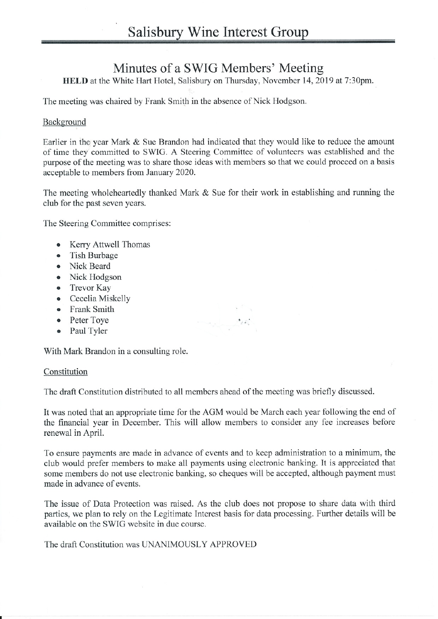# Minutes of a SWIG Members' Meeting

HELD at the White Hart Hotel, Salisbury on Thursday, November 14, 2019 at 7:30pm.

The meeting was chaired by Frank Smith in the absence of Nick Hodgson.

## Background

Earlier in the year Mark  $&$  Sue Brandon had indicated that they would like to reduce the amount of time they committed to SWIG. A Steering Committee of volunteers was established and the purpose of the meeting was to share those ideas with members so that we could proceed on a basis acceptable to members from January 2020.

The meeting wholeheartedly thanked Mark & Sue for their work in establishing and running the club for the past seven years.

The Steering Committee comprises:

- Kerry Attwell Thomas
- . Tish Burbage
- . Nick Beard
- . Nick Hodgson
- . Trevor Kay
- o Cecelia Miskelly
- . Frank Smith
- . Peter Toye
- . Paul Tyler

With Mark Brandon in a consulting role.

### Constitution

The draft Constitution distributed to all members ahead of the meeting was briefly discussed.

It was noted that an appropriate time for the AGM would be March each year following the end of the financial year in December. This will allow members to consider any fee increases before renewal in April.

To ensure payments are made in advance of events and to keep administration to a minimum, the club would prefer members to make all payments using electronic banking. It is appreciated that some members do not use electronic banking, so cheques will be accepted, although payment must made in advance of events.

The issue of Data Protection was raised. As the club does not propose to sharc data with third parties, we plan to rely on the Legitimate Interest basis for data processing. Further details will be available on the SWIG website in due course.

The draft Constitution was LINANIMOUSLY APPROVED